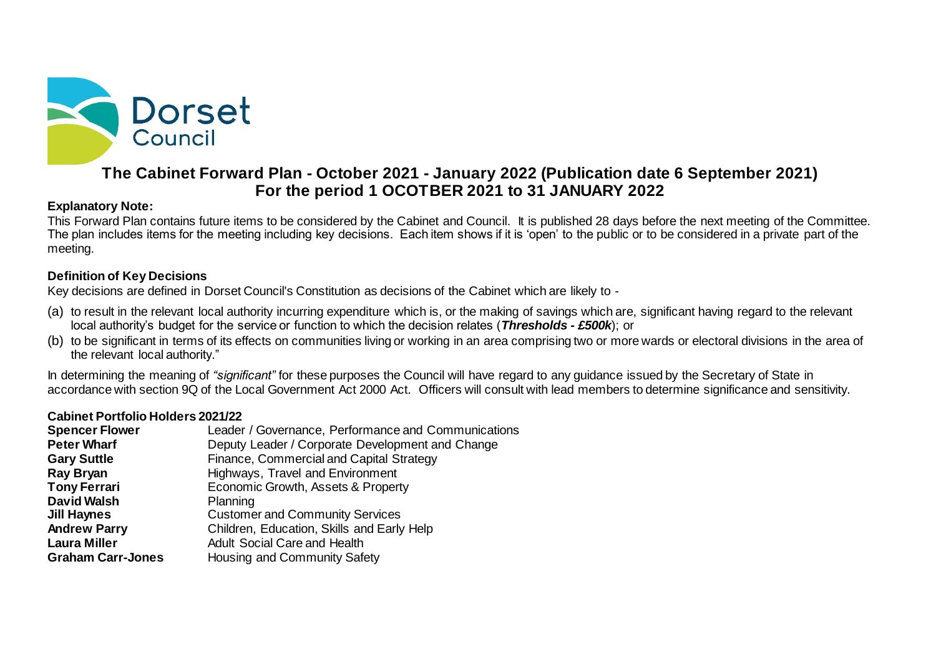

# **The Cabinet Forward Plan - October 2021 - January 2022 (Publication date 6 September 2021) For the period 1 OCOTBER 2021 to 31 JANUARY 2022**

## **Explanatory Note:**

This Forward Plan contains future items to be considered by the Cabinet and Council. It is published 28 days before the next meeting of the Committee. The plan includes items for the meeting including key decisions. Each item shows if it is 'open' to the public or to be considered in a private part of the meeting.

### **Definition of Key Decisions**

Key decisions are defined in Dorset Council's Constitution as decisions of the Cabinet which are likely to -

- (a) to result in the relevant local authority incurring expenditure which is, or the making of savings which are, significant having regard to the relevant local authority's budget for the service or function to which the decision relates (*Thresholds - £500k*); or
- (b) to be significant in terms of its effects on communities living or working in an area comprising two or more wards or electoral divisions in the area of the relevant local authority."

In determining the meaning of *"significant"* for these purposes the Council will have regard to any guidance issued by the Secretary of State in accordance with section 9Q of the Local Government Act 2000 Act. Officers will consult with lead members to determine significance and sensitivity.

### **Cabinet Portfolio Holders 2021/22**

| Leader / Governance, Performance and Communications |  |  |  |  |  |  |
|-----------------------------------------------------|--|--|--|--|--|--|
| Deputy Leader / Corporate Development and Change    |  |  |  |  |  |  |
| Finance, Commercial and Capital Strategy            |  |  |  |  |  |  |
| Highways, Travel and Environment                    |  |  |  |  |  |  |
| Economic Growth, Assets & Property                  |  |  |  |  |  |  |
| Planning                                            |  |  |  |  |  |  |
| <b>Customer and Community Services</b>              |  |  |  |  |  |  |
| Children, Education, Skills and Early Help          |  |  |  |  |  |  |
| <b>Adult Social Care and Health</b>                 |  |  |  |  |  |  |
| Housing and Community Safety                        |  |  |  |  |  |  |
|                                                     |  |  |  |  |  |  |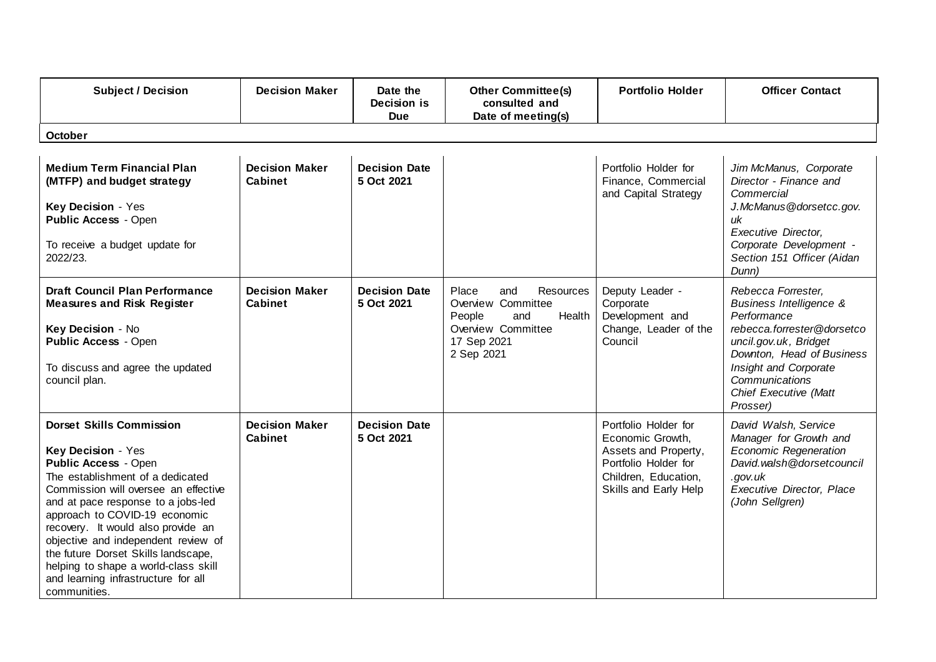| <b>Subject / Decision</b>                                                                                                                                                                                                                                                                                                                                                                                                                                  | <b>Decision Maker</b>                   | Date the<br>Decision is<br><b>Due</b> | <b>Other Committee(s)</b><br>consulted and<br>Date of meeting(s)                                                              | <b>Portfolio Holder</b>                                                                                                                   | <b>Officer Contact</b>                                                                                                                                                                                                                      |
|------------------------------------------------------------------------------------------------------------------------------------------------------------------------------------------------------------------------------------------------------------------------------------------------------------------------------------------------------------------------------------------------------------------------------------------------------------|-----------------------------------------|---------------------------------------|-------------------------------------------------------------------------------------------------------------------------------|-------------------------------------------------------------------------------------------------------------------------------------------|---------------------------------------------------------------------------------------------------------------------------------------------------------------------------------------------------------------------------------------------|
| October                                                                                                                                                                                                                                                                                                                                                                                                                                                    |                                         |                                       |                                                                                                                               |                                                                                                                                           |                                                                                                                                                                                                                                             |
| <b>Medium Term Financial Plan</b><br>(MTFP) and budget strategy<br>Key Decision - Yes<br><b>Public Access - Open</b><br>To receive a budget update for<br>2022/23.                                                                                                                                                                                                                                                                                         | <b>Decision Maker</b><br>Cabinet        | <b>Decision Date</b><br>5 Oct 2021    |                                                                                                                               | Portfolio Holder for<br>Finance, Commercial<br>and Capital Strategy                                                                       | Jim McManus, Corporate<br>Director - Finance and<br>Commercial<br>J.McManus@dorsetcc.gov.<br>uk<br><b>Executive Director,</b><br>Corporate Development -<br>Section 151 Officer (Aidan<br>Dunn)                                             |
| <b>Draft Council Plan Performance</b><br><b>Measures and Risk Register</b><br>Key Decision - No<br><b>Public Access - Open</b><br>To discuss and agree the updated<br>council plan.                                                                                                                                                                                                                                                                        | <b>Decision Maker</b><br>Cabinet        | <b>Decision Date</b><br>5 Oct 2021    | Resources<br>Place<br>and<br>Overview Committee<br>Health<br>People<br>and<br>Overview Committee<br>17 Sep 2021<br>2 Sep 2021 | Deputy Leader -<br>Corporate<br>Development and<br>Change, Leader of the<br>Council                                                       | Rebecca Forrester.<br><b>Business Intelligence &amp;</b><br>Performance<br>rebecca.forrester@dorsetco<br>uncil.gov.uk, Bridget<br>Downton, Head of Business<br>Insight and Corporate<br>Communications<br>Chief Executive (Matt<br>Prosser) |
| <b>Dorset Skills Commission</b><br>Key Decision - Yes<br><b>Public Access - Open</b><br>The establishment of a dedicated<br>Commission will oversee an effective<br>and at pace response to a jobs-led<br>approach to COVID-19 economic<br>recovery. It would also provide an<br>objective and independent review of<br>the future Dorset Skills landscape,<br>helping to shape a world-class skill<br>and learning infrastructure for all<br>communities. | <b>Decision Maker</b><br><b>Cabinet</b> | <b>Decision Date</b><br>5 Oct 2021    |                                                                                                                               | Portfolio Holder for<br>Economic Growth,<br>Assets and Property,<br>Portfolio Holder for<br>Children, Education,<br>Skills and Early Help | David Walsh, Service<br>Manager for Growth and<br><b>Economic Regeneration</b><br>David.walsh@dorsetcouncil<br>.gov.uk<br><b>Executive Director, Place</b><br>(John Sellgren)                                                               |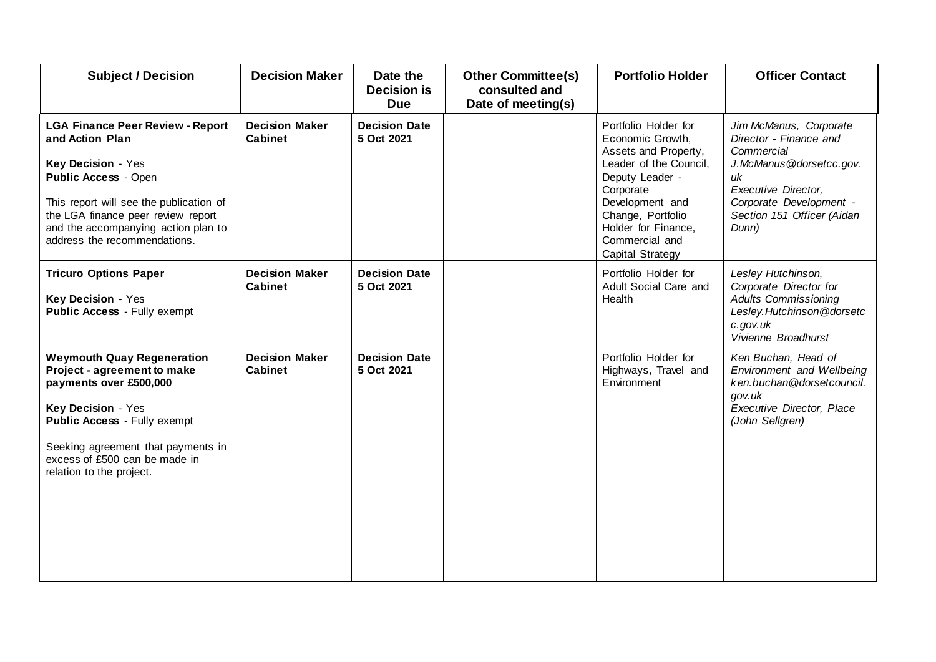| <b>Subject / Decision</b>                                                                                                                                                                                                                                               | <b>Decision Maker</b>                   | Date the<br><b>Decision is</b><br><b>Due</b> | <b>Other Committee(s)</b><br>consulted and<br>Date of meeting(s) | <b>Portfolio Holder</b>                                                                                                                                                                                                         | <b>Officer Contact</b>                                                                                                                                                                          |
|-------------------------------------------------------------------------------------------------------------------------------------------------------------------------------------------------------------------------------------------------------------------------|-----------------------------------------|----------------------------------------------|------------------------------------------------------------------|---------------------------------------------------------------------------------------------------------------------------------------------------------------------------------------------------------------------------------|-------------------------------------------------------------------------------------------------------------------------------------------------------------------------------------------------|
| <b>LGA Finance Peer Review - Report</b><br>and Action Plan<br>Key Decision - Yes<br><b>Public Access - Open</b><br>This report will see the publication of<br>the LGA finance peer review report<br>and the accompanying action plan to<br>address the recommendations. | <b>Decision Maker</b><br><b>Cabinet</b> | <b>Decision Date</b><br>5 Oct 2021           |                                                                  | Portfolio Holder for<br>Economic Growth,<br>Assets and Property,<br>Leader of the Council,<br>Deputy Leader -<br>Corporate<br>Development and<br>Change, Portfolio<br>Holder for Finance,<br>Commercial and<br>Capital Strategy | Jim McManus, Corporate<br>Director - Finance and<br>Commercial<br>J.McManus@dorsetcc.gov.<br>uk<br><b>Executive Director,</b><br>Corporate Development -<br>Section 151 Officer (Aidan<br>Dunn) |
| <b>Tricuro Options Paper</b><br>Key Decision - Yes<br><b>Public Access - Fully exempt</b>                                                                                                                                                                               | <b>Decision Maker</b><br>Cabinet        | <b>Decision Date</b><br>5 Oct 2021           |                                                                  | Portfolio Holder for<br>Adult Social Care and<br>Health                                                                                                                                                                         | Lesley Hutchinson,<br>Corporate Director for<br><b>Adults Commissioning</b><br>Lesley.Hutchinson@dorsetc<br>c.gov.uk<br>Vivienne Broadhurst                                                     |
| <b>Weymouth Quay Regeneration</b><br>Project - agreement to make<br>payments over £500,000<br>Key Decision - Yes<br><b>Public Access - Fully exempt</b><br>Seeking agreement that payments in<br>excess of £500 can be made in<br>relation to the project.              | <b>Decision Maker</b><br><b>Cabinet</b> | <b>Decision Date</b><br>5 Oct 2021           |                                                                  | Portfolio Holder for<br>Highways, Travel and<br>Environment                                                                                                                                                                     | Ken Buchan, Head of<br>Environment and Wellbeing<br>ken.buchan@dorsetcouncil.<br>gov.uk<br>Executive Director, Place<br>(John Sellgren)                                                         |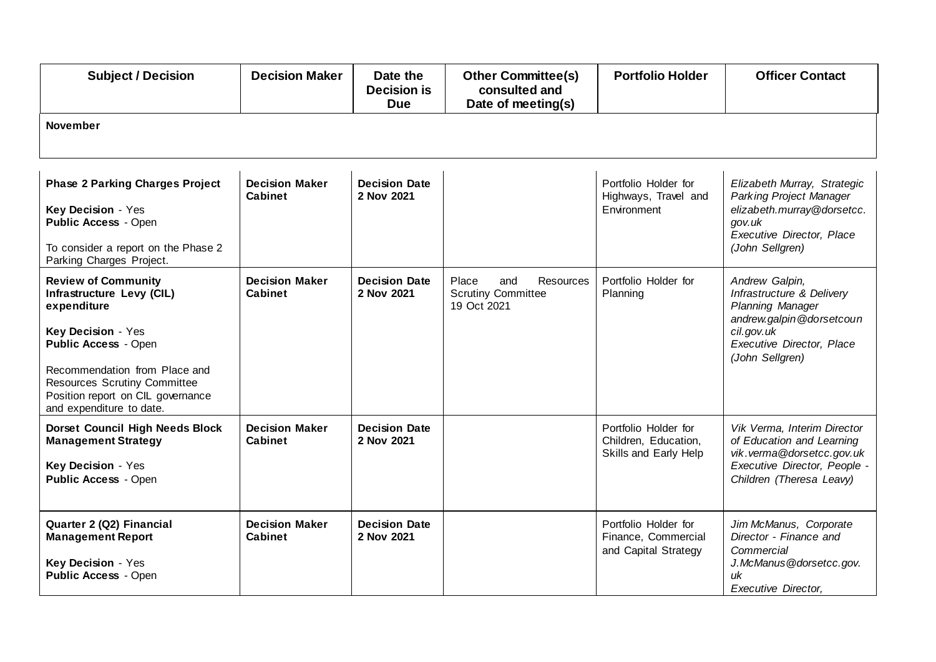| <b>Subject / Decision</b>                                                                                                                                                                                                                                            | <b>Decision Maker</b>                   | Date the<br><b>Decision is</b><br><b>Due</b> | <b>Other Committee(s)</b><br>consulted and<br>Date of meeting(s)      | <b>Portfolio Holder</b>                                               | <b>Officer Contact</b>                                                                                                                                    |  |  |  |
|----------------------------------------------------------------------------------------------------------------------------------------------------------------------------------------------------------------------------------------------------------------------|-----------------------------------------|----------------------------------------------|-----------------------------------------------------------------------|-----------------------------------------------------------------------|-----------------------------------------------------------------------------------------------------------------------------------------------------------|--|--|--|
| <b>November</b>                                                                                                                                                                                                                                                      |                                         |                                              |                                                                       |                                                                       |                                                                                                                                                           |  |  |  |
| <b>Phase 2 Parking Charges Project</b><br>Key Decision - Yes<br><b>Public Access - Open</b><br>To consider a report on the Phase 2<br>Parking Charges Project.                                                                                                       | <b>Decision Maker</b><br>Cabinet        | <b>Decision Date</b><br>2 Nov 2021           |                                                                       | Portfolio Holder for<br>Highways, Travel and<br>Environment           | Elizabeth Murray, Strategic<br><b>Parking Project Manager</b><br>elizabeth.murray@dorsetcc.<br>gov.uk<br>Executive Director, Place<br>(John Sellgren)     |  |  |  |
| <b>Review of Community</b><br>Infrastructure Levy (CIL)<br>expenditure<br>Key Decision - Yes<br><b>Public Access - Open</b><br>Recommendation from Place and<br><b>Resources Scrutiny Committee</b><br>Position report on CIL governance<br>and expenditure to date. | <b>Decision Maker</b><br><b>Cabinet</b> | <b>Decision Date</b><br>2 Nov 2021           | Place<br>Resources<br>and<br><b>Scrutiny Committee</b><br>19 Oct 2021 | Portfolio Holder for<br>Planning                                      | Andrew Galpin,<br>Infrastructure & Delivery<br>Planning Manager<br>andrew.galpin@dorsetcoun<br>cil.gov.uk<br>Executive Director, Place<br>(John Sellgren) |  |  |  |
| <b>Dorset Council High Needs Block</b><br><b>Management Strategy</b><br>Key Decision - Yes<br><b>Public Access - Open</b>                                                                                                                                            | <b>Decision Maker</b><br><b>Cabinet</b> | <b>Decision Date</b><br>2 Nov 2021           |                                                                       | Portfolio Holder for<br>Children, Education,<br>Skills and Early Help | Vik Verma, Interim Director<br>of Education and Learning<br>vik. verma@dorsetcc.gov.uk<br>Executive Director, People -<br>Children (Theresa Leavy)        |  |  |  |
| Quarter 2 (Q2) Financial<br><b>Management Report</b><br>Key Decision - Yes<br><b>Public Access - Open</b>                                                                                                                                                            | <b>Decision Maker</b><br><b>Cabinet</b> | <b>Decision Date</b><br>2 Nov 2021           |                                                                       | Portfolio Holder for<br>Finance, Commercial<br>and Capital Strategy   | Jim McManus, Corporate<br>Director - Finance and<br>Commercial<br>J.McManus@dorsetcc.gov.<br>иk<br><b>Executive Director,</b>                             |  |  |  |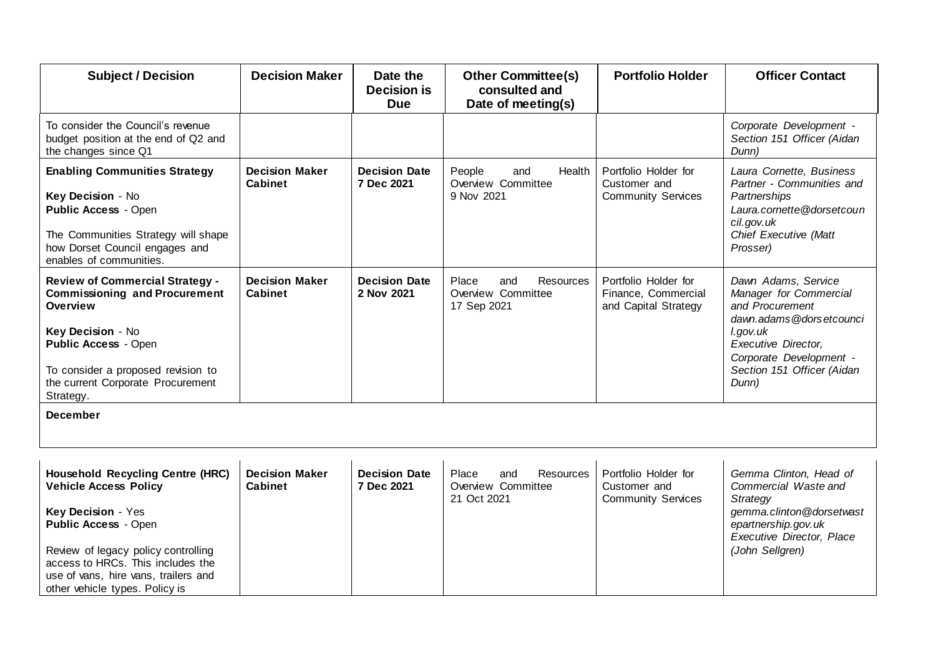| <b>Subject / Decision</b>                                                                                                                                                                                                              | <b>Decision Maker</b>                   | Date the<br><b>Decision is</b><br><b>Due</b> | <b>Other Committee(s)</b><br>consulted and<br>Date of meeting(s)      | <b>Portfolio Holder</b>                                             | <b>Officer Contact</b>                                                                                                                                                                                  |  |
|----------------------------------------------------------------------------------------------------------------------------------------------------------------------------------------------------------------------------------------|-----------------------------------------|----------------------------------------------|-----------------------------------------------------------------------|---------------------------------------------------------------------|---------------------------------------------------------------------------------------------------------------------------------------------------------------------------------------------------------|--|
| To consider the Council's revenue<br>budget position at the end of Q2 and<br>the changes since Q1                                                                                                                                      |                                         |                                              |                                                                       |                                                                     | Corporate Development -<br>Section 151 Officer (Aidan<br>Dunn)                                                                                                                                          |  |
| <b>Enabling Communities Strategy</b><br>Key Decision - No<br><b>Public Access - Open</b><br>The Communities Strategy will shape<br>how Dorset Council engages and<br>enables of communities.                                           | <b>Decision Maker</b><br>Cabinet        | <b>Decision Date</b><br>7 Dec 2021           | People<br>Health<br>and<br>Overview Committee<br>9 Nov 2021           | Portfolio Holder for<br>Customer and<br><b>Community Services</b>   | Laura Cornette, Business<br>Partner - Communities and<br>Partnerships<br>Laura.cornette@dorsetcoun<br>cil.gov.uk<br>Chief Executive (Matt<br>Prosser)                                                   |  |
| <b>Review of Commercial Strategy -</b><br><b>Commissioning and Procurement</b><br>Overview<br>Key Decision - No<br><b>Public Access - Open</b><br>To consider a proposed revision to<br>the current Corporate Procurement<br>Strategy. | <b>Decision Maker</b><br><b>Cabinet</b> | <b>Decision Date</b><br>2 Nov 2021           | Place<br>and<br><b>Resources</b><br>Overview Committee<br>17 Sep 2021 | Portfolio Holder for<br>Finance, Commercial<br>and Capital Strategy | Dawn Adams, Service<br>Manager for Commercial<br>and Procurement<br>dawn.adams@dorsetcounci<br>l.gov.uk<br><b>Executive Director,</b><br>Corporate Development -<br>Section 151 Officer (Aidan<br>Dunn) |  |
| <b>December</b>                                                                                                                                                                                                                        |                                         |                                              |                                                                       |                                                                     |                                                                                                                                                                                                         |  |
| <b>Household Recycling Centre (HRC)</b><br><b>Vehicle Access Policy</b><br>Key Decision - Yes<br><b>Public Access - Open</b><br>Review of legacy policy controlling<br>access to HRCs. This includes the                               | <b>Decision Maker</b><br><b>Cabinet</b> | <b>Decision Date</b><br>7 Dec 2021           | <b>Resources</b><br>Place<br>and<br>Overview Committee<br>21 Oct 2021 | Portfolio Holder for<br>Customer and<br><b>Community Services</b>   | Gemma Clinton, Head of<br>Commercial Waste and<br>Strategy<br>gemma.clinton@dorsetwast<br>epartnership.gov.uk<br><b>Executive Director, Place</b><br>(John Sellgren)                                    |  |
| use of vans, hire vans, trailers and<br>other vehicle types. Policy is                                                                                                                                                                 |                                         |                                              |                                                                       |                                                                     |                                                                                                                                                                                                         |  |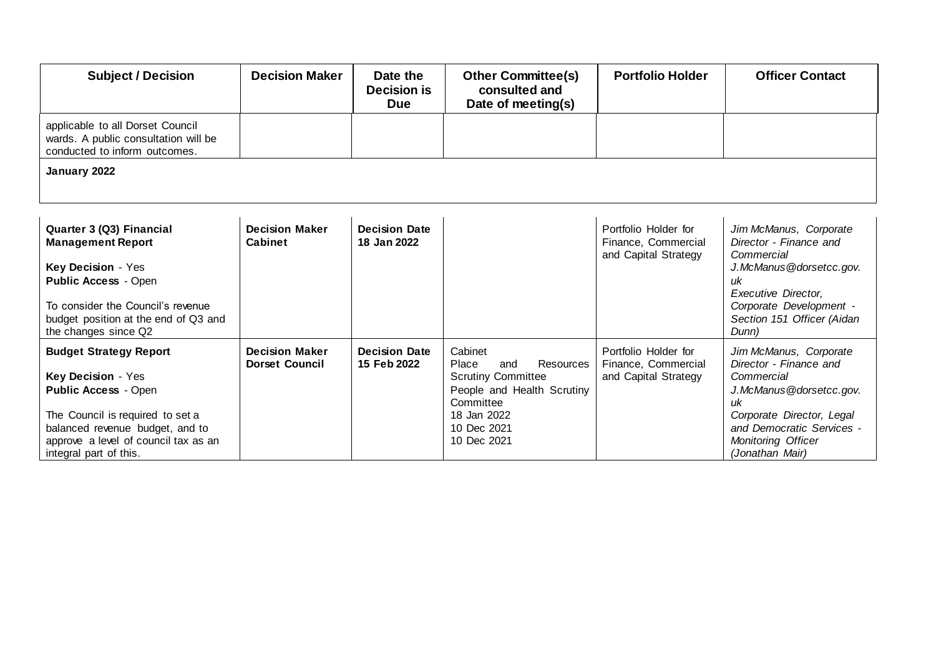| <b>Subject / Decision</b>                                                                                                                                                                                                   | <b>Decision Maker</b>                          | Date the<br><b>Decision is</b><br><b>Due</b> | <b>Other Committee(s)</b><br>consulted and<br>Date of meeting(s)                                                                                                 | <b>Portfolio Holder</b>                                             | <b>Officer Contact</b>                                                                                                                                                                             |  |  |
|-----------------------------------------------------------------------------------------------------------------------------------------------------------------------------------------------------------------------------|------------------------------------------------|----------------------------------------------|------------------------------------------------------------------------------------------------------------------------------------------------------------------|---------------------------------------------------------------------|----------------------------------------------------------------------------------------------------------------------------------------------------------------------------------------------------|--|--|
| applicable to all Dorset Council<br>wards. A public consultation will be<br>conducted to inform outcomes.                                                                                                                   |                                                |                                              |                                                                                                                                                                  |                                                                     |                                                                                                                                                                                                    |  |  |
| January 2022                                                                                                                                                                                                                |                                                |                                              |                                                                                                                                                                  |                                                                     |                                                                                                                                                                                                    |  |  |
| Quarter 3 (Q3) Financial<br><b>Management Report</b><br>Key Decision - Yes<br><b>Public Access - Open</b><br>To consider the Council's revenue<br>budget position at the end of Q3 and<br>the changes since Q2              | <b>Decision Maker</b><br><b>Cabinet</b>        | <b>Decision Date</b><br>18 Jan 2022          |                                                                                                                                                                  | Portfolio Holder for<br>Finance, Commercial<br>and Capital Strategy | Jim McManus, Corporate<br>Director - Finance and<br>Commercial<br>J.McManus@dorsetcc.gov.<br>иk<br>Executive Director,<br>Corporate Development -<br>Section 151 Officer (Aidan<br>Dunn)           |  |  |
| <b>Budget Strategy Report</b><br>Key Decision - Yes<br><b>Public Access - Open</b><br>The Council is required to set a<br>balanced revenue budget, and to<br>approve a level of council tax as an<br>integral part of this. | <b>Decision Maker</b><br><b>Dorset Council</b> | <b>Decision Date</b><br>15 Feb 2022          | Cabinet<br><b>Resources</b><br>Place<br>and<br><b>Scrutiny Committee</b><br>People and Health Scrutiny<br>Committee<br>18 Jan 2022<br>10 Dec 2021<br>10 Dec 2021 | Portfolio Holder for<br>Finance, Commercial<br>and Capital Strategy | Jim McManus, Corporate<br>Director - Finance and<br>Commercial<br>J.McManus@dorsetcc.gov.<br>иk<br>Corporate Director, Legal<br>and Democratic Services -<br>Monitoring Officer<br>(Jonathan Mair) |  |  |